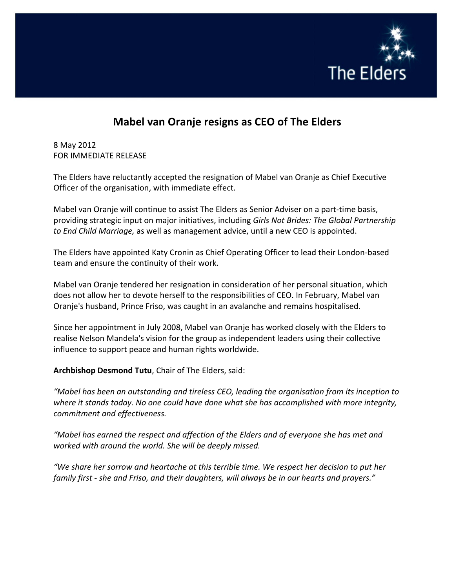

## **Mabel van Oranje resigns as CEO of The Elders**

8 May 2012 FOR IMMEDIATE RELEASE

The Elders have reluctantly accepted the resignation of Mabel van Oranje as Chief Executive Officer of the organisation, with immediate effect.

Mabel van Oranje will continue to assist The Elders as Senior Adviser on a part‐time basis, providing strategic input on major initiatives, including *Girls Not Brides: The Global Partnership to End Child Marriage,* as well as management advice, until a new CEO is appointed.

The Elders have appointed Katy Cronin as Chief Operating Officer to lead their London‐based team and ensure the continuity of their work.

Mabel van Oranje tendered her resignation in consideration of her personal situation, which does not allow her to devote herself to the responsibilities of CEO. In February, Mabel van Oranje's husband, Prince Friso, was caught in an avalanche and remains hospitalised.

Since her appointment in July 2008, Mabel van Oranje has worked closely with the Elders to realise Nelson Mandela's vision for the group as independent leaders using their collective influence to support peace and human rights worldwide.

**Archbishop Desmond Tutu**, Chair of The Elders, said:

*"Mabel has been an outstanding and tireless CEO, leading the organisation from its inception to where it stands today. No one could have done what she has accomplished with more integrity, commitment and effectiveness.*

*"Mabel has earned the respect and affection of the Elders and of everyone she has met and worked with around the world. She will be deeply missed.*

*"We share her sorrow and heartache at this terrible time. We respect her decision to put her family first ‐ she and Friso, and their daughters, will always be in our hearts and prayers."*